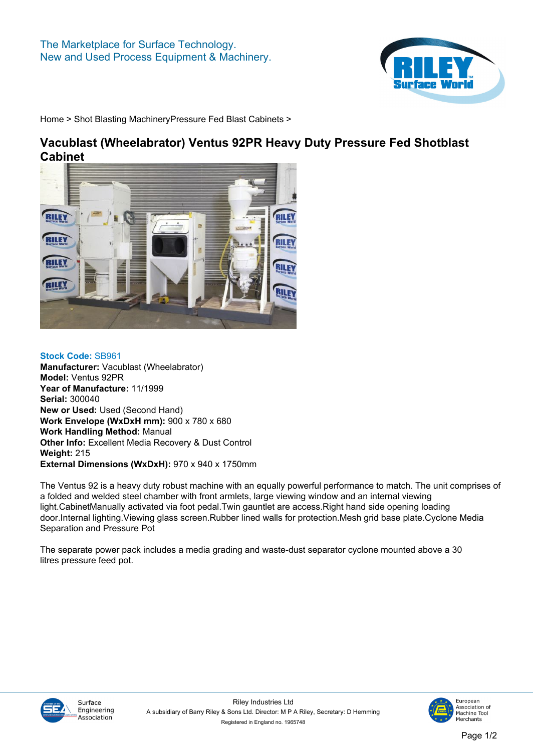

**[Home](https://www.rileysurfaceworld.co.uk) > [Shot Blasting Machinery](https://www.rileysurfaceworld.co.uk/shot-blasting.asp)[Pressure Fed Blast Cabinets](https://www.rileysurfaceworld.co.uk/shot-pressure.asp) >**

## **Vacublast (Wheelabrator) Ventus 92PR Heavy Duty Pressure Fed Shotblast Cabinet**



**Stock Code: SB961 Manufacturer: Vacublast (Wheelabrator) Model: Ventus 92PR Year of Manufacture: 11/1999 Serial: 300040 New or Used: Used (Second Hand) Work Envelope (WxDxH mm): 900 x 780 x 680 Work Handling Method: Manual Other Info: Excellent Media Recovery & Dust Control Weight: 215 External Dimensions (WxDxH): 970 x 940 x 1750mm**

**The Ventus 92 is a heavy duty robust machine with an equally powerful performance to match. The unit comprises of a folded and welded steel chamber with front armlets, large viewing window and an internal viewing light.CabinetManually activated via foot pedal.Twin gauntlet are access.Right hand side opening loading door.Internal lighting.Viewing glass screen.Rubber lined walls for protection.Mesh grid base plate.Cyclone Media Separation and Pressure Pot**

**The separate power pack includes a media grading and waste-dust separator cyclone mounted above a 30 litres pressure feed pot.**